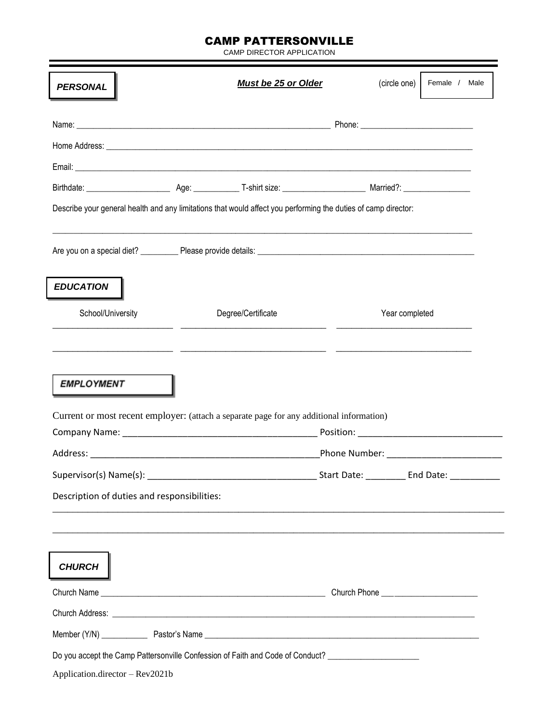## CAMP PATTERSONVILLE

CAMP DIRECTOR APPLICATION

|                                             | <b>Must be 25 or Older</b>                                                                                     | (circle one)                                                    | Female / Male |
|---------------------------------------------|----------------------------------------------------------------------------------------------------------------|-----------------------------------------------------------------|---------------|
|                                             |                                                                                                                |                                                                 |               |
|                                             |                                                                                                                |                                                                 |               |
|                                             |                                                                                                                |                                                                 |               |
|                                             |                                                                                                                |                                                                 |               |
|                                             | Describe your general health and any limitations that would affect you performing the duties of camp director: |                                                                 |               |
|                                             | <u> 1989 - Johann Barn, Amerikaansk politiker (d. 1989)</u>                                                    |                                                                 |               |
| <b>EDUCATION</b>                            |                                                                                                                |                                                                 |               |
| School/University                           | Degree/Certificate                                                                                             | Year completed                                                  |               |
|                                             |                                                                                                                |                                                                 |               |
|                                             |                                                                                                                |                                                                 |               |
| <b>EMPLOYMENT</b>                           | Current or most recent employer: (attach a separate page for any additional information)                       |                                                                 |               |
|                                             |                                                                                                                | Phone Number: ________________________                          |               |
| Supervisor(s) Name(s): __________           |                                                                                                                | _______________________Start Date: ______________ End Date: ___ |               |
| Description of duties and responsibilities: |                                                                                                                |                                                                 |               |
| <b>CHURCH</b>                               |                                                                                                                |                                                                 |               |
|                                             |                                                                                                                |                                                                 |               |
|                                             |                                                                                                                |                                                                 |               |